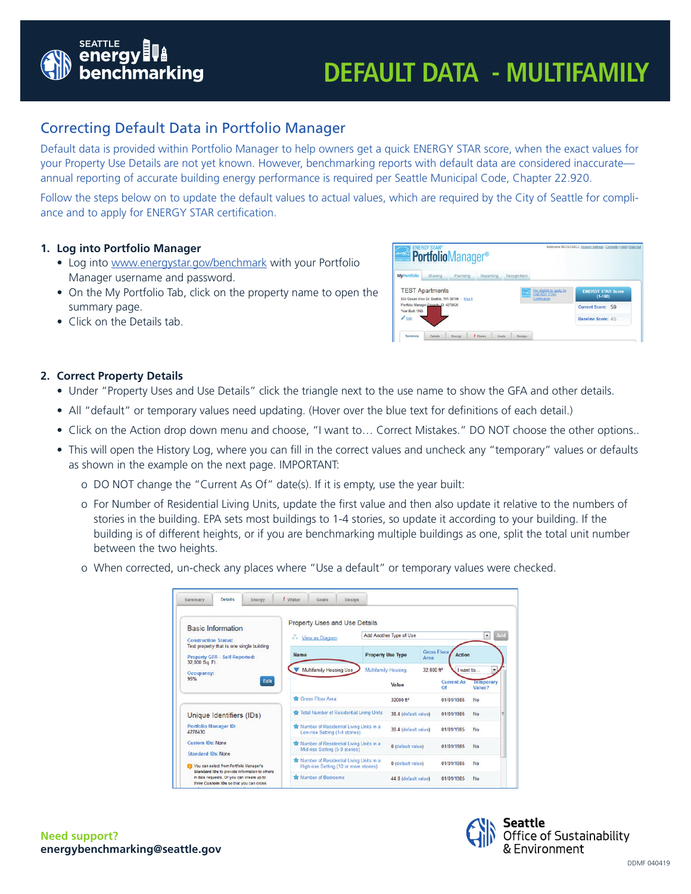

# **DEFAULT DATA - MULTIFAMILY**

## Correcting Default Data in Portfolio Manager

Default data is provided within Portfolio Manager to help owners get a quick ENERGY STAR score, when the exact values for your Property Use Details are not yet known. However, benchmarking reports with default data are considered inaccurate annual reporting of accurate building energy performance is required per Seattle Municipal Code, Chapter 22.920.

Follow the steps below on to update the default values to actual values, which are required by the City of Seattle for compliance and to apply for ENERGY STAR certification.

### **1. Log into Portfolio Manager**

- Log into [www.energystar.gov/benchmark](http://www.energystar.gov/benchmark) with your Portfolio Manager username and password.
- On the My Portfolio Tab, click on the property name to open the summary page.
- Click on the Details tab.

| <b>ENERGY STAR®</b><br><b>PortfolioManager®</b>                         |                                                                                     | Welcome NICOLEBALL: Account Settings   Contacts   Help   Sign Out |
|-------------------------------------------------------------------------|-------------------------------------------------------------------------------------|-------------------------------------------------------------------|
| <b>MyPortfolio</b><br>Sharing<br>Planning<br>Reporting                  | Recognition                                                                         |                                                                   |
| <b>TEST Apartments</b><br>555 Ocean View Dr. Seattle, WA 98104   Map It | Not eligible to apply for<br><b>Contract</b><br><b>ENERGY STAR</b><br>Certification | <b>ENERGY STAR Score</b><br>$(1 - 100)$                           |
| Portfolio Manager Property ID: 4278430<br>Year Built: 1985              | Current Score: 59                                                                   |                                                                   |
| $Z_{Edd}$                                                               |                                                                                     | Baseline Score: 45                                                |
|                                                                         |                                                                                     |                                                                   |

### **2. Correct Property Details**

- Under "Property Uses and Use Details" click the triangle next to the use name to show the GFA and other details.
- All "default" or temporary values need updating. (Hover over the blue text for definitions of each detail.)
- Click on the Action drop down menu and choose, "I want to… Correct Mistakes." DO NOT choose the other options..
- This will open the History Log, where you can fill in the correct values and uncheck any "temporary" values or defaults as shown in the example on the next page. IMPORTANT:
	- o DO NOT change the "Current As Of" date(s). If it is empty, use the year built:
	- o For Number of Residential Living Units, update the first value and then also update it relative to the numbers of stories in the building. EPA sets most buildings to 1-4 stories, so update it according to your building. If the building is of different heights, or if you are benchmarking multiple buildings as one, split the total unit number between the two heights.
	- o When corrected, un-check any places where "Use a default" or temporary values were checked.

| <b>Details</b><br>Energy<br>Summary                                                                 | / Water     | Goals                          | <b>Design</b>                                                                     |                                     |                                                   |                                                              |
|-----------------------------------------------------------------------------------------------------|-------------|--------------------------------|-----------------------------------------------------------------------------------|-------------------------------------|---------------------------------------------------|--------------------------------------------------------------|
| <b>Basic Information</b><br><b>Construction Status:</b>                                             | n.          | View as Diagram                | <b>Property Uses and Use Details</b>                                              | Add Another Type of Use             |                                                   | Add<br>$\check{}$                                            |
| Test property that is one single building<br><b>Property GFA - Self-Reported:</b><br>32.000 Sq. Ft. | <b>Name</b> |                                |                                                                                   | <b>Property Use Type</b>            | <b>Gross Floor</b><br><b>Action</b><br>Area       |                                                              |
| Occupancy:<br>95%<br>Edit                                                                           |             | <b>Multifamily Housing Use</b> |                                                                                   | <b>Multifamily Housing</b><br>Value | 32.000 ft <sup>2</sup><br><b>Current As</b><br>Of | $\overline{\phantom{a}}$<br>I want to<br>Temporary<br>Value? |
|                                                                                                     |             | Gross Floor Area               |                                                                                   | 32000 ft <sup>2</sup>               | 01/01/1985                                        | <b>No</b>                                                    |
| Unique Identifiers (IDs)                                                                            |             |                                | Total Number of Residential Living Units                                          | 38.4 (default value)                | 01/01/1985                                        | No                                                           |
| <b>Portfolio Manager ID:</b><br>4278430                                                             |             | Low-rise Setting (1-4 stories) | Number of Residential Living Units in a                                           | 38.4 (default value)                | 01/01/1985                                        | <b>No</b>                                                    |
| <b>Custom IDs: None</b><br><b>Standard IDs: None</b>                                                |             | Mid-rise Setting (5-9 stories) | Number of Residential Living Units in a                                           | 0 (default value)                   | 01/01/1985                                        | No                                                           |
| Vou can select from Portfolio Manager's<br>Standard IDs to provide information to others            |             |                                | Number of Residential Living Units in a<br>High-rise Setting (10 or more stories) | 0 (default value)                   | 01/01/1985                                        | No                                                           |
| in data requests. Or you can create up to<br>three Custom IDs so that you can cross                 |             | Number of Bedrooms             |                                                                                   | 44.8 (default value)                | 01/01/1985                                        | No                                                           |